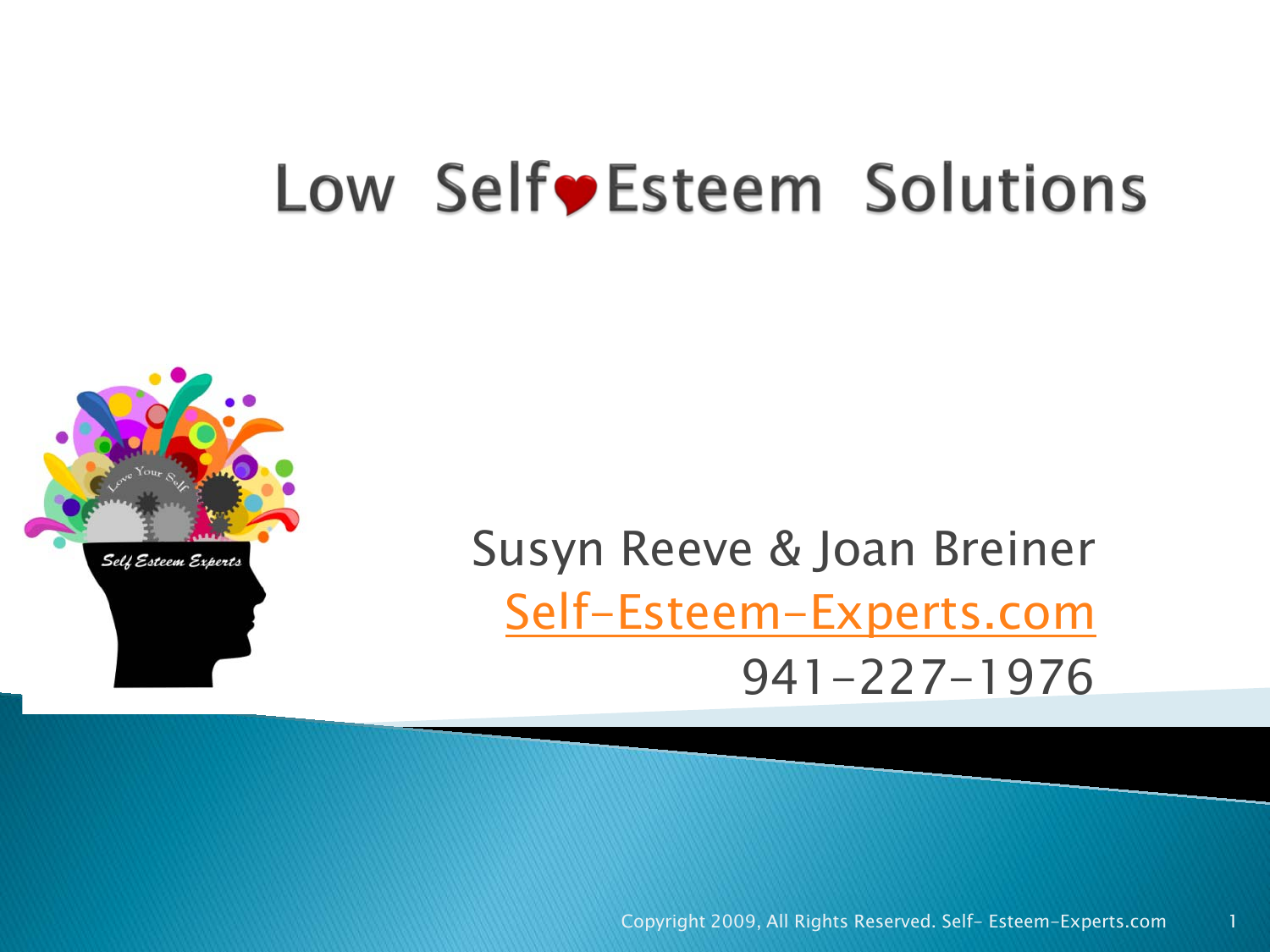## Low Self Esteem Solutions



Susyn Reeve & Joan Breiner [Self-Esteem-Experts.com](http://self-esteem-experts.com/) 941-227-1976

Copyright 2009, All Rights Reserved. Self- Esteem-Experts.com 1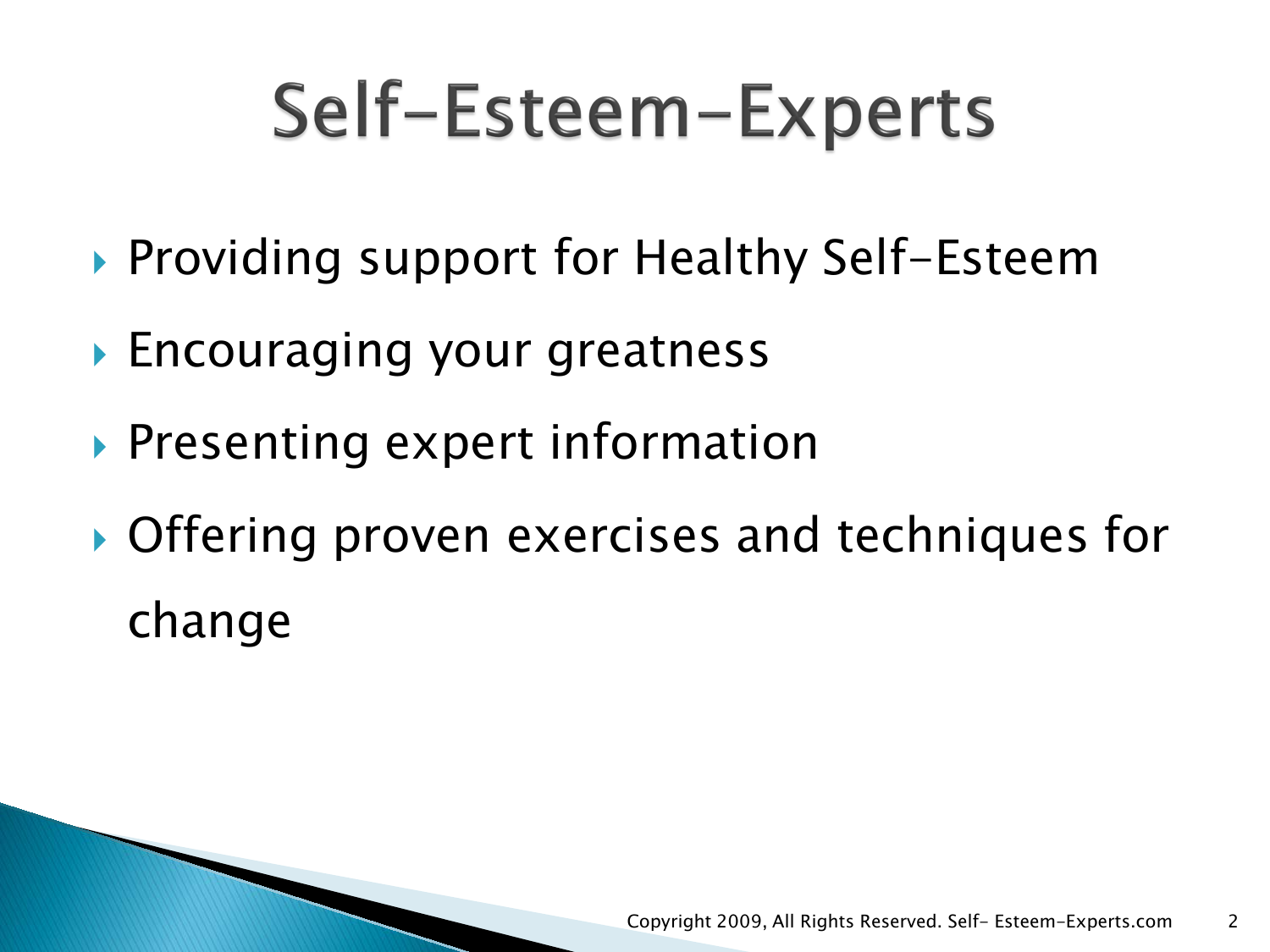## Self-Esteem-Experts

- ▶ Providing support for Healthy Self-Esteem
- Encouraging your greatness
- **Presenting expert information**
- ▶ Offering proven exercises and techniques for change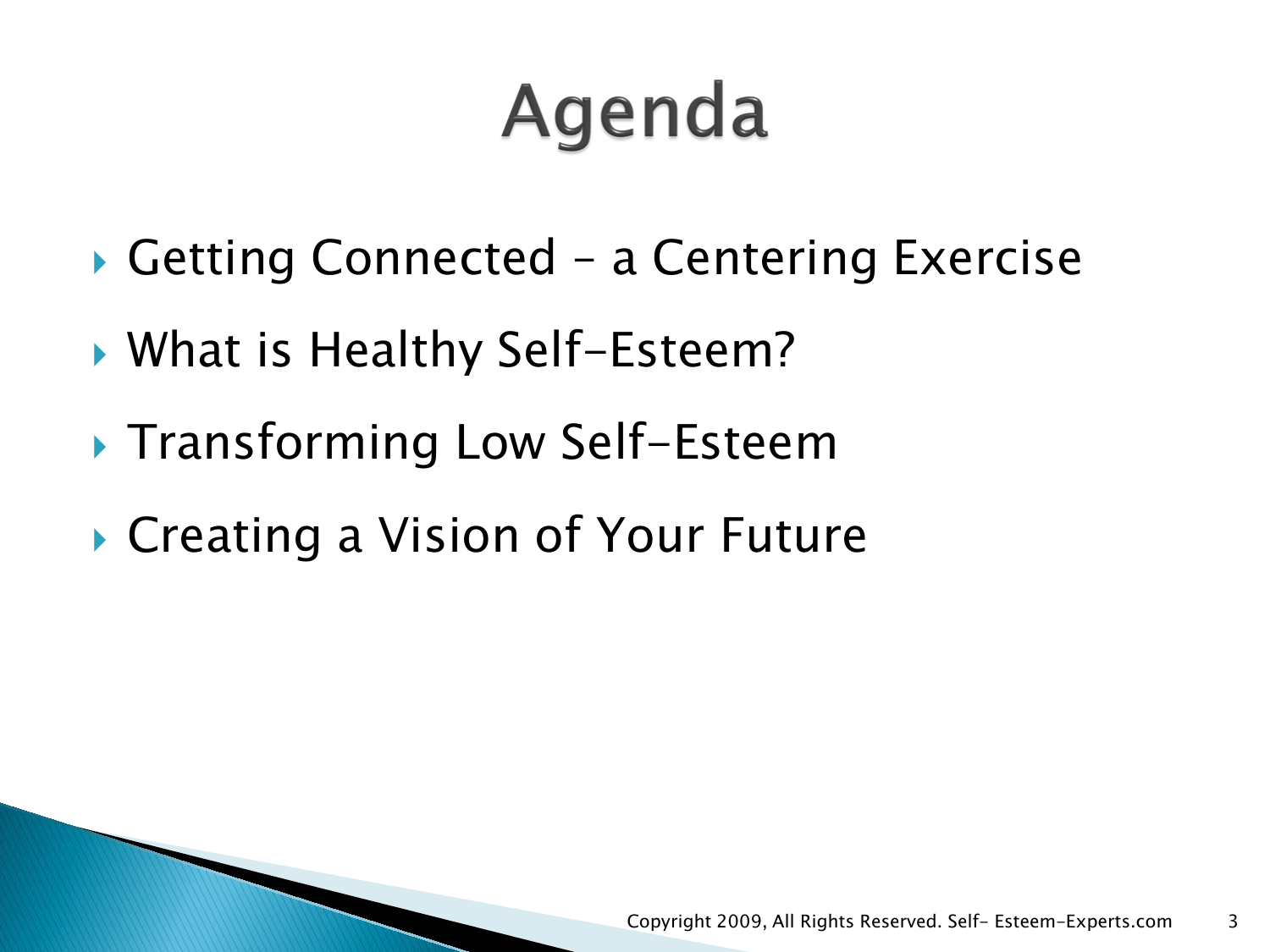## Agenda

- ▶ Getting Connected a Centering Exercise
- ▶ What is Healthy Self-Esteem?
- ▶ Transforming Low Self-Esteem
- ▶ Creating a Vision of Your Future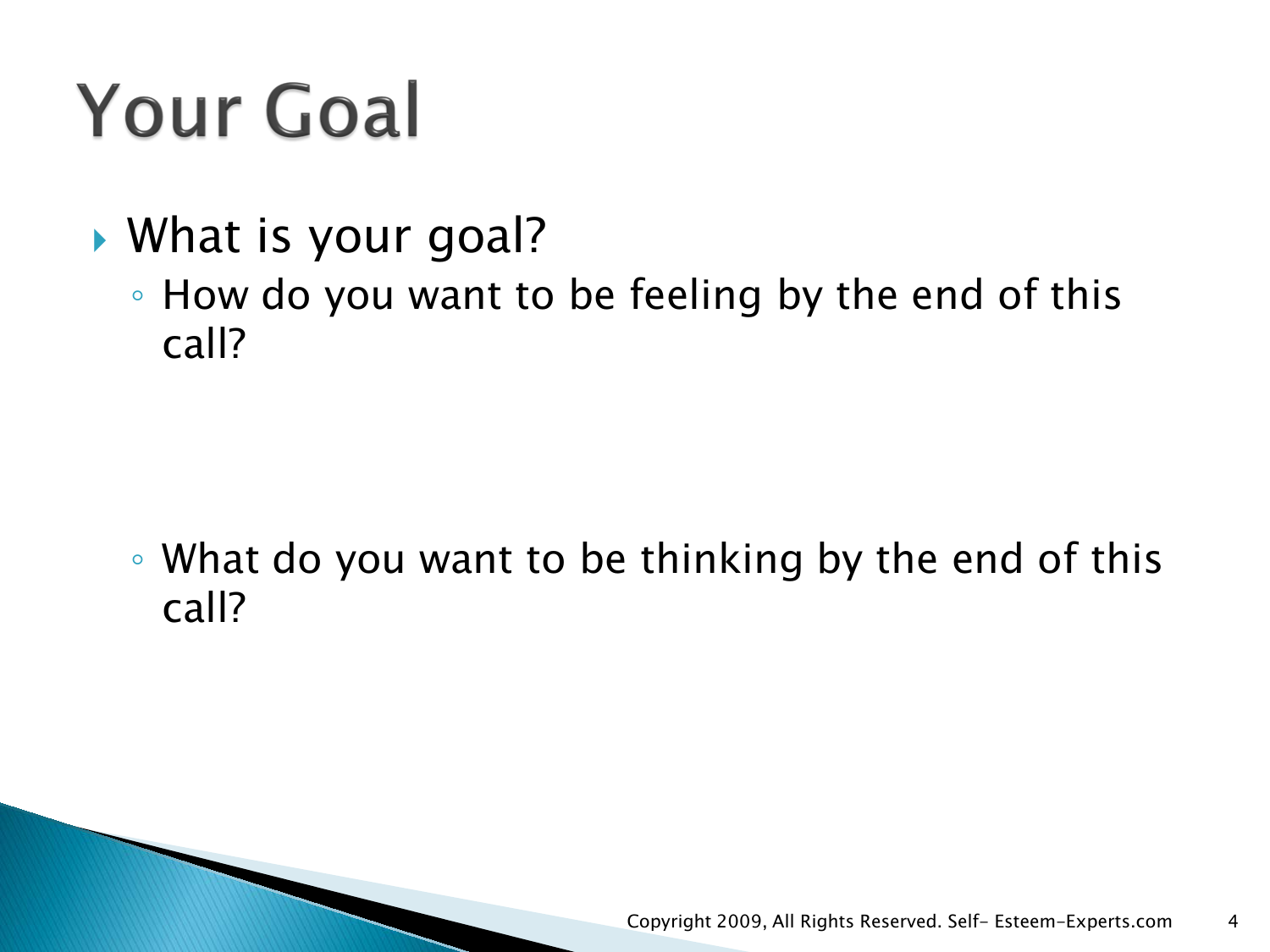## **Your Goal**

- ▶ What is your goal?
	- How do you want to be feeling by the end of this call?

◦ What do you want to be thinking by the end of this call?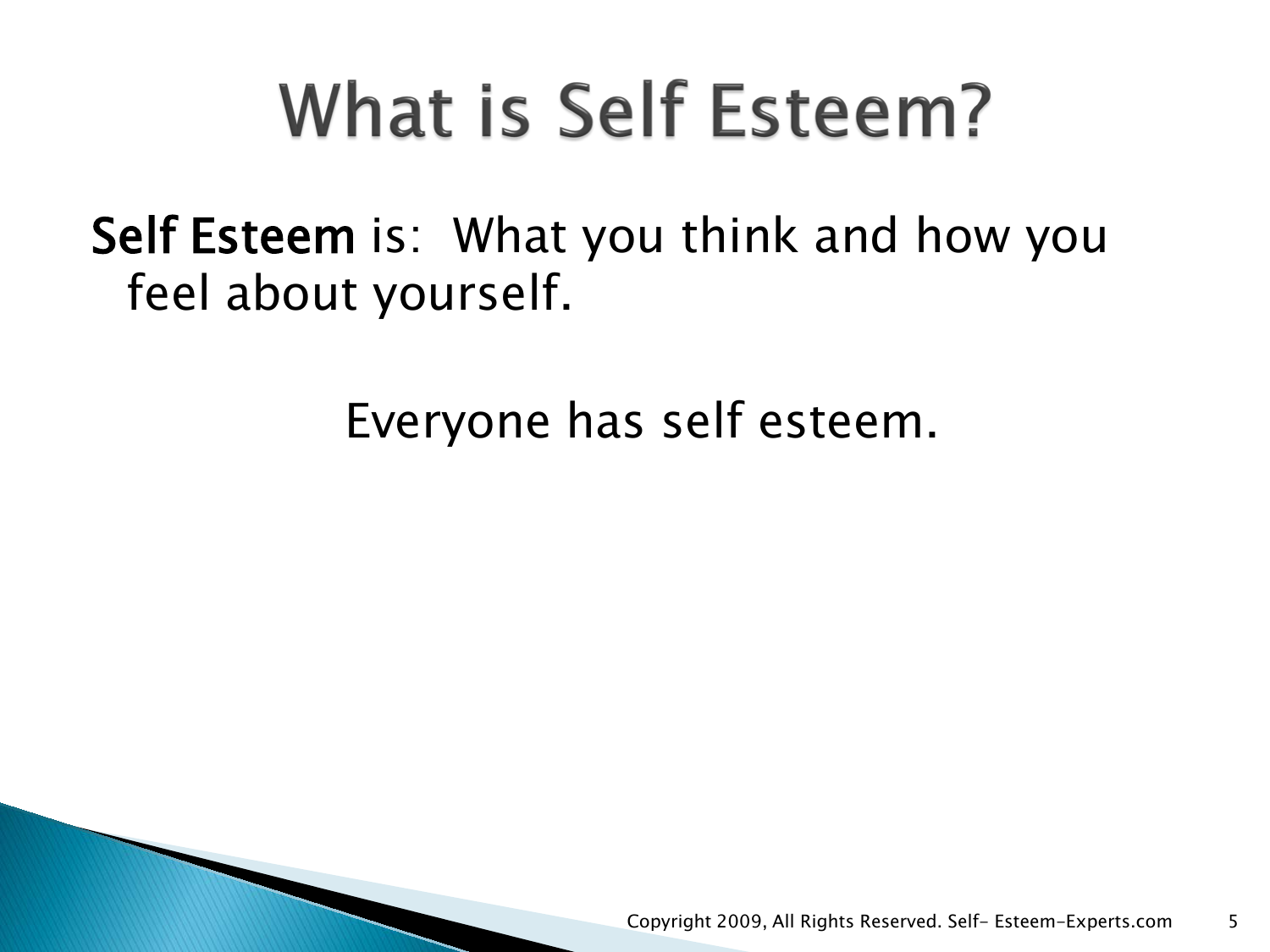## What is Self Esteem?

Self Esteem is: What you think and how you feel about yourself.

Everyone has self esteem.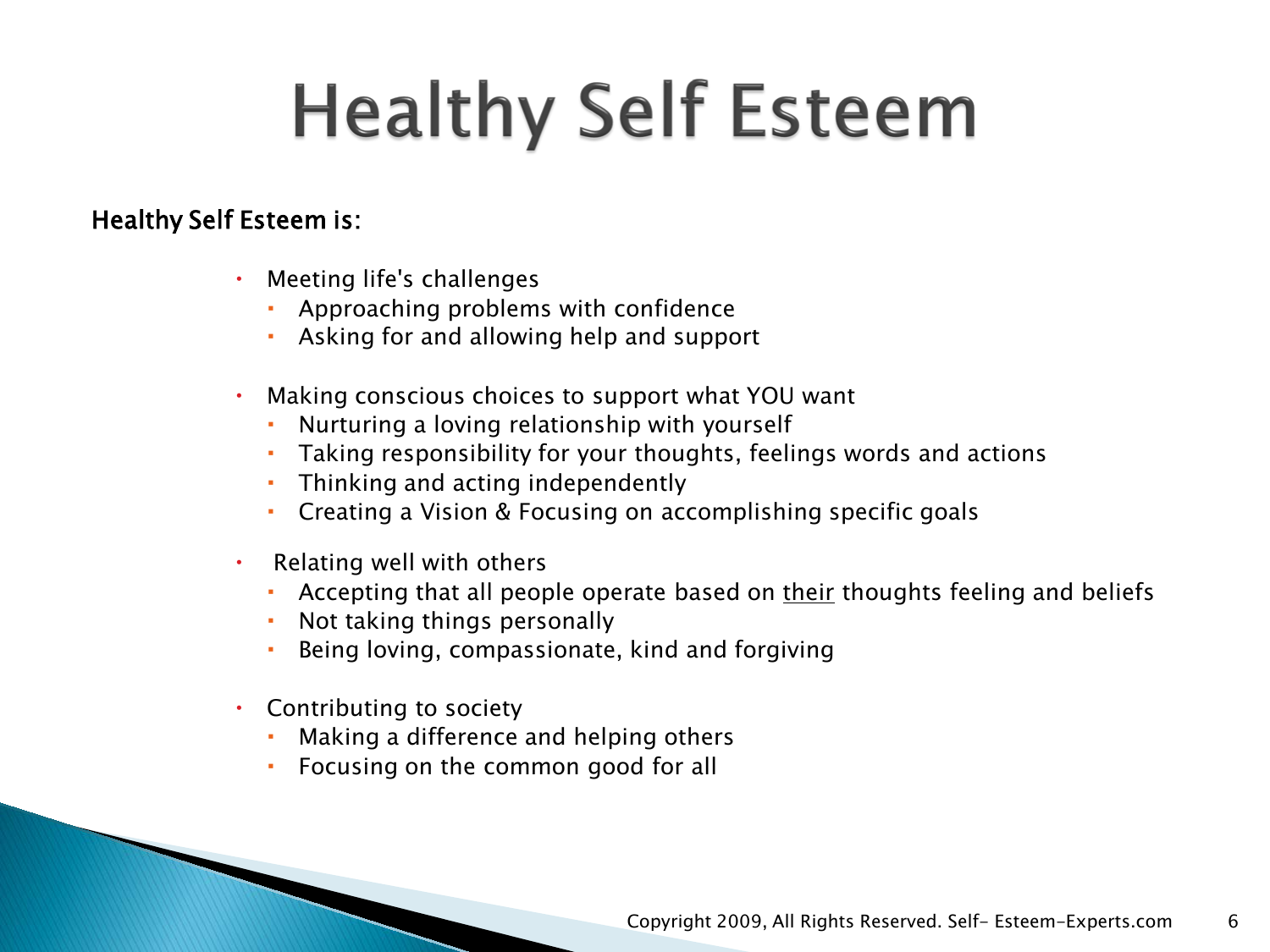## **Healthy Self Esteem**

#### Healthy Self Esteem is:

- Meeting life's challenges
	- Approaching problems with confidence
	- Asking for and allowing help and support
- Making conscious choices to support what YOU want
	- Nurturing a loving relationship with yourself
	- Taking responsibility for your thoughts, feelings words and actions
	- Thinking and acting independently
	- Creating a Vision & Focusing on accomplishing specific goals
- Relating well with others
	- Accepting that all people operate based on their thoughts feeling and beliefs
	- Not taking things personally
	- Being loving, compassionate, kind and forgiving
- Contributing to society
	- Making a difference and helping others
	- Focusing on the common good for all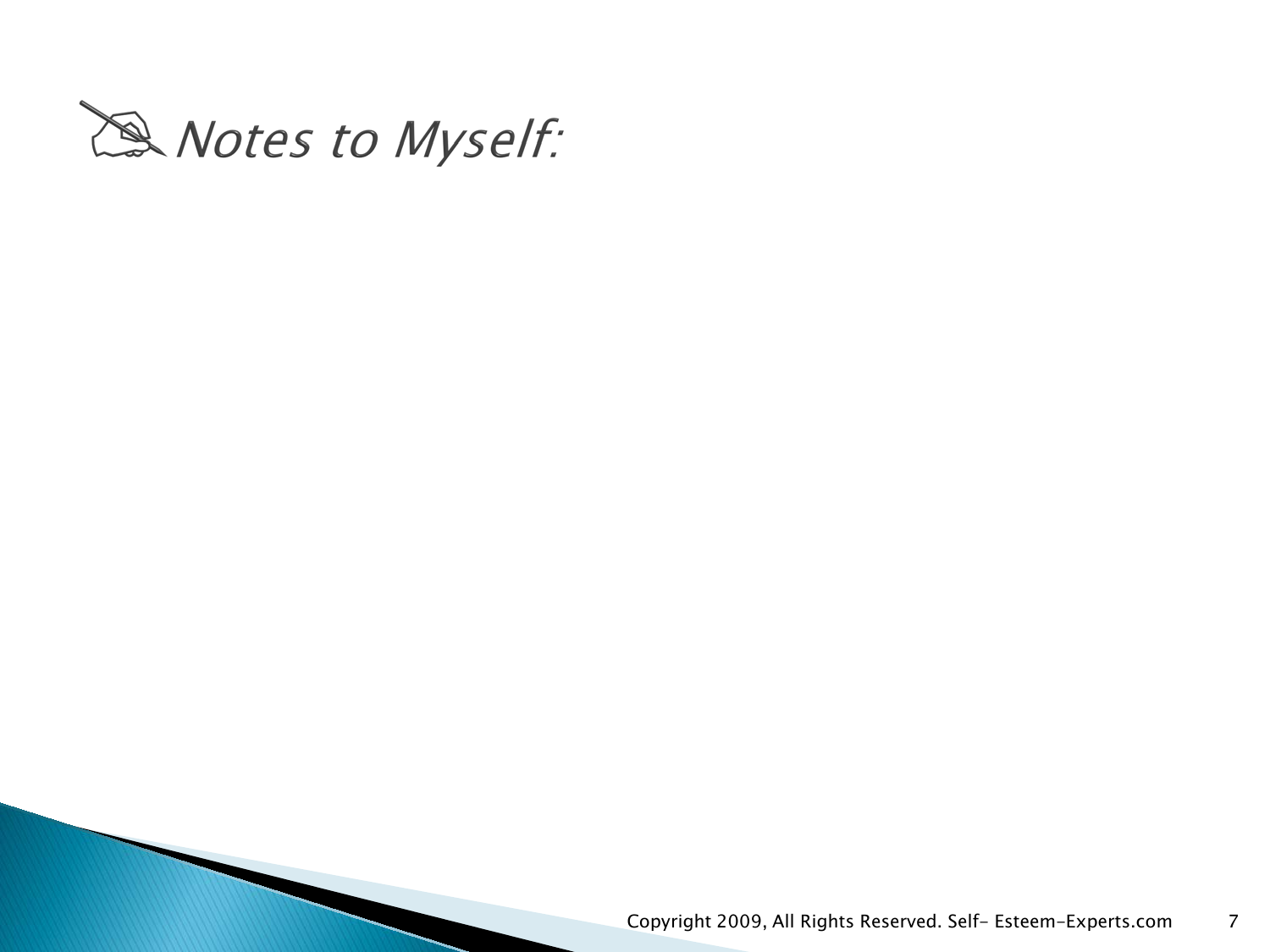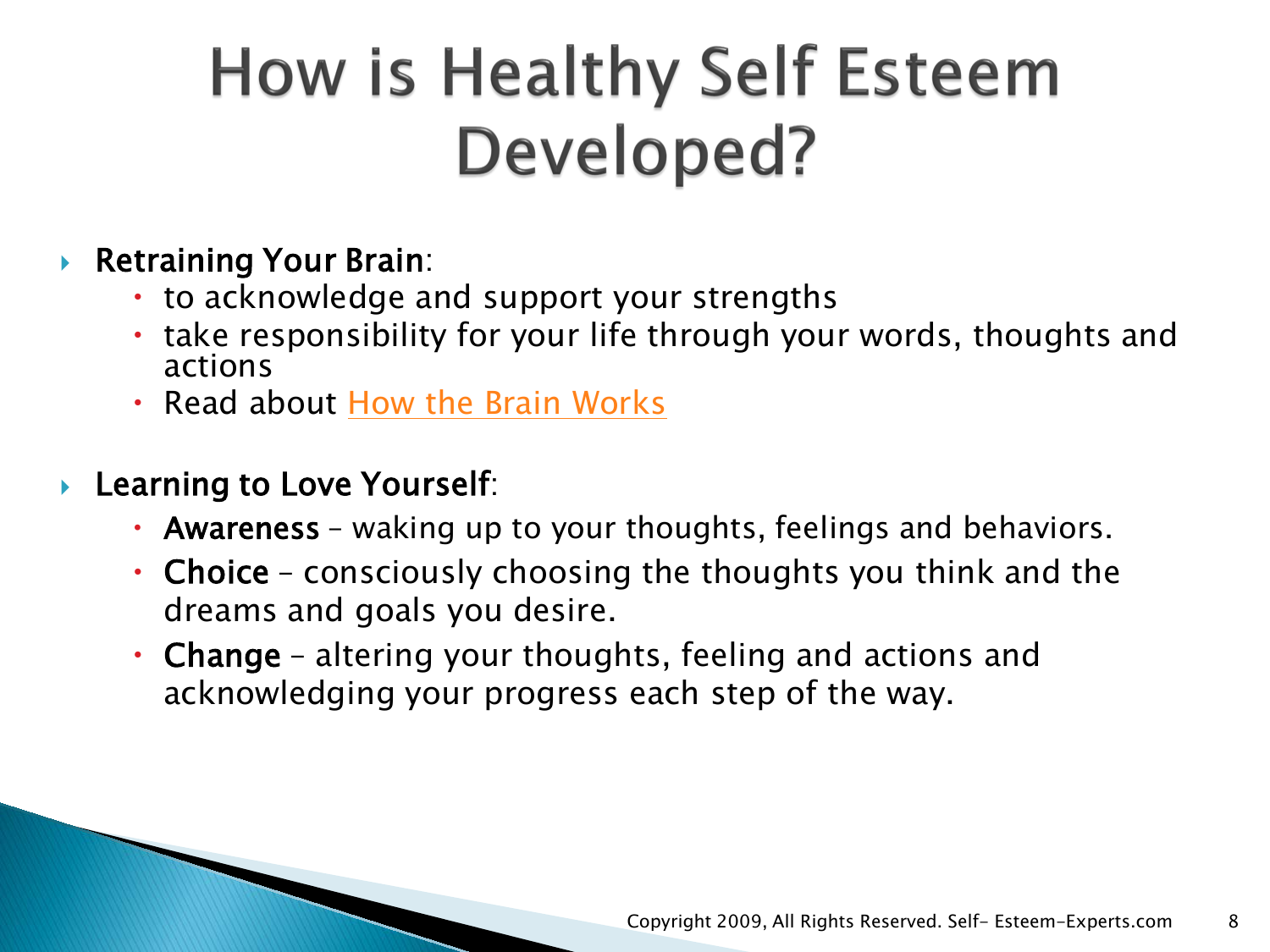## How is Healthy Self Esteem Developed?

#### ▶ Retraining Your Brain:

- to acknowledge and support your strengths
- take responsibility for your life through your words, thoughts and actions
- Read about [How the Brain Works](http://www.self-esteem-experts.com/how-the-brain-works.html)
- **Learning to Love Yourself:** 
	- Awareness waking up to your thoughts, feelings and behaviors.
	- Choice consciously choosing the thoughts you think and the dreams and goals you desire.
	- Change altering your thoughts, feeling and actions and acknowledging your progress each step of the way.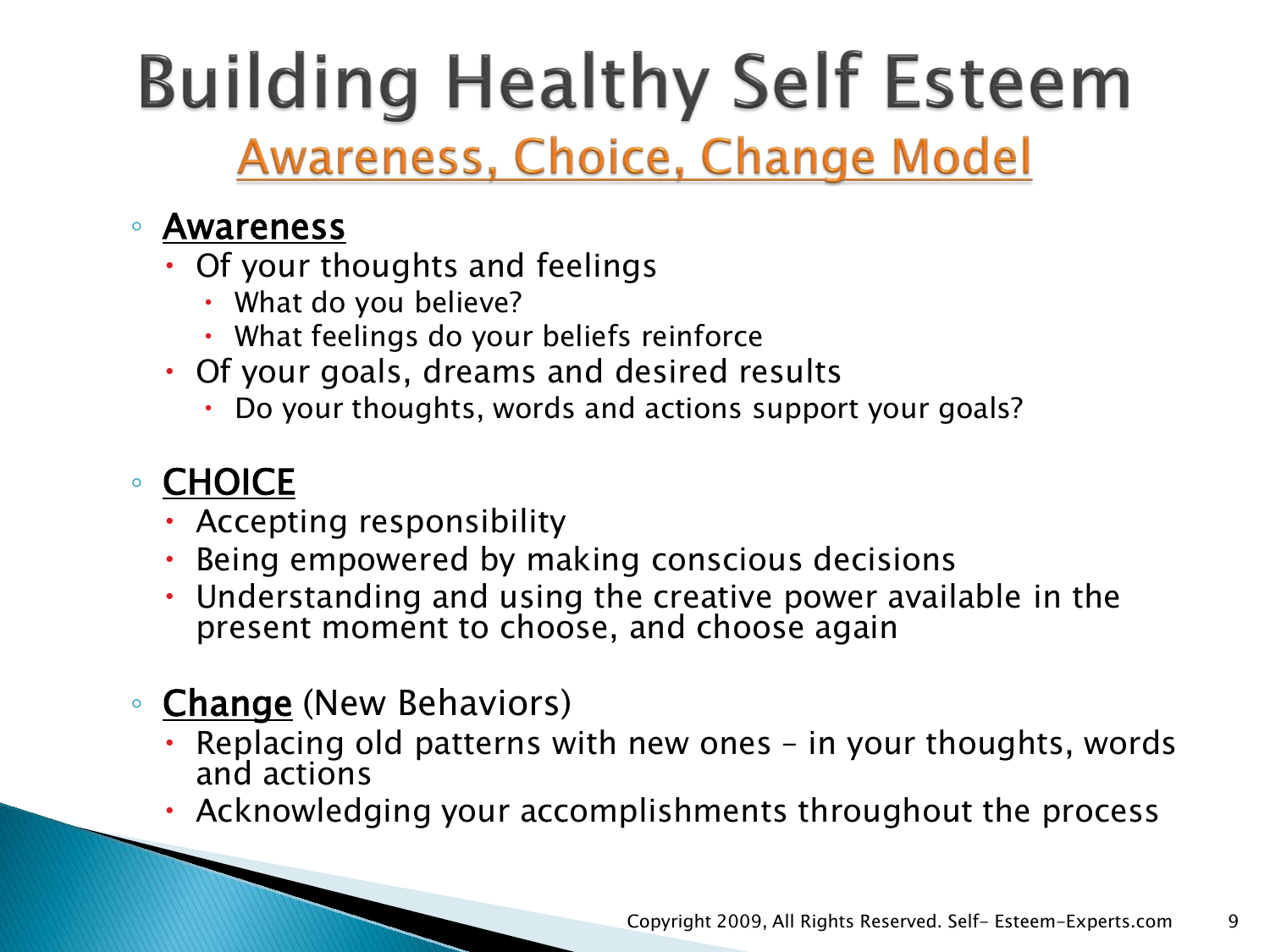## **Building Healthy Self Esteem Awareness, Choice, Change Model**

#### ◦ Awareness

- Of your thoughts and feelings
	- What do you believe?
	- What feelings do your beliefs reinforce
- Of your goals, dreams and desired results
	- Do your thoughts, words and actions support your goals?

### ◦ CHOICE

- Accepting responsibility
- Being empowered by making conscious decisions
- Understanding and using the creative power available in the present moment to choose, and choose again

#### ◦ Change (New Behaviors)

- Replacing old patterns with new ones in your thoughts, words and actions
- Acknowledging your accomplishments throughout the process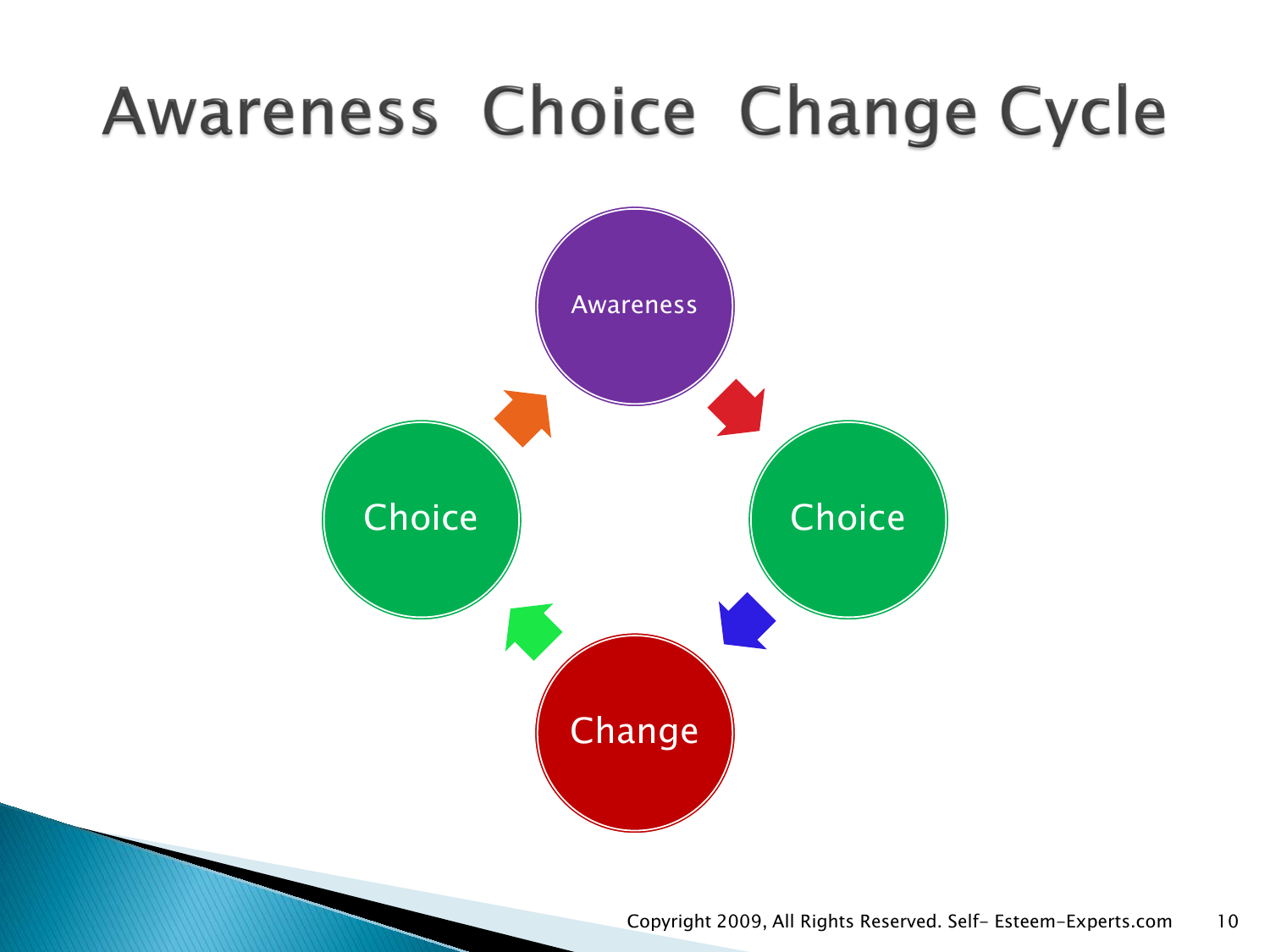## Awareness Choice Change Cycle

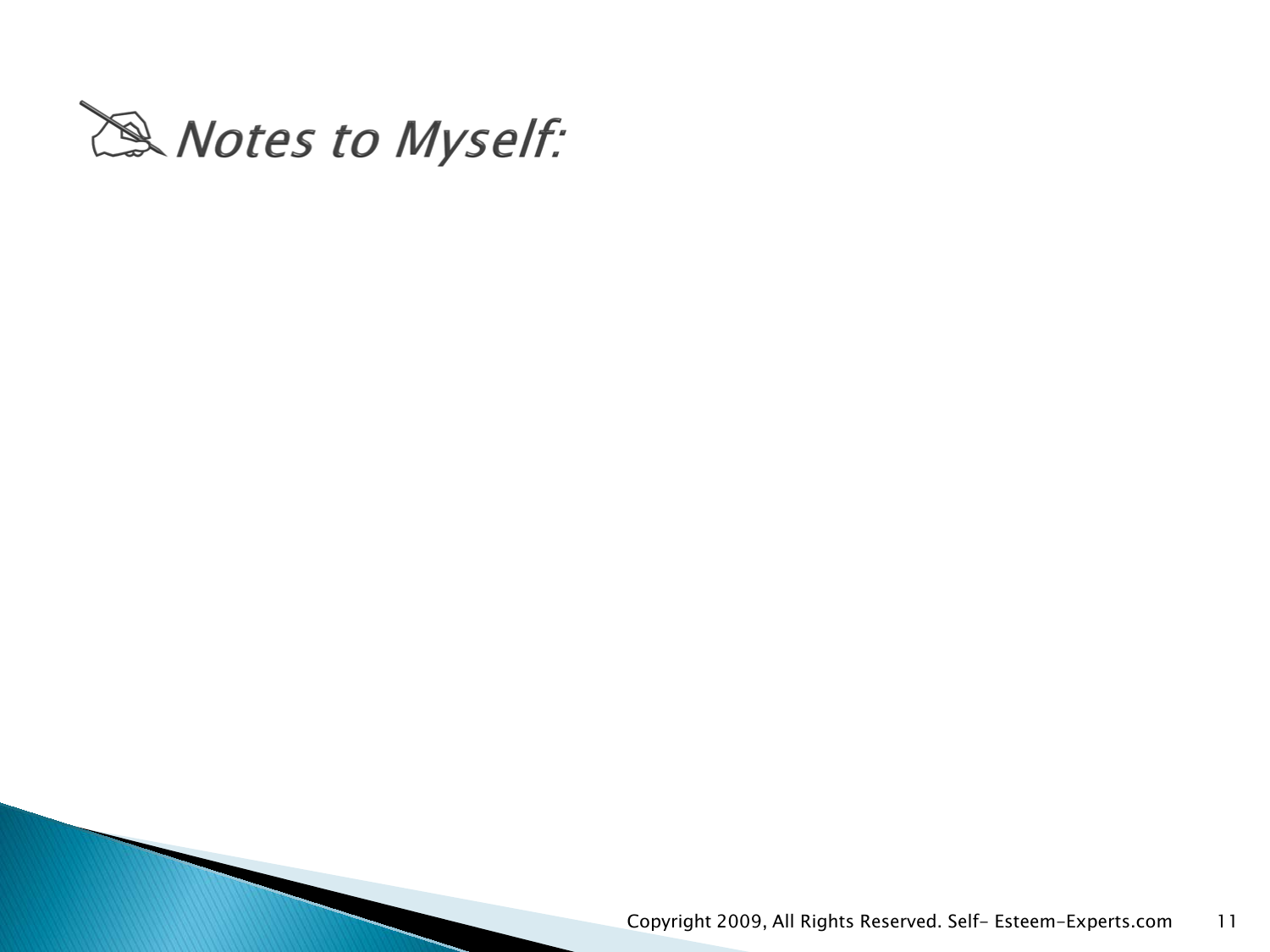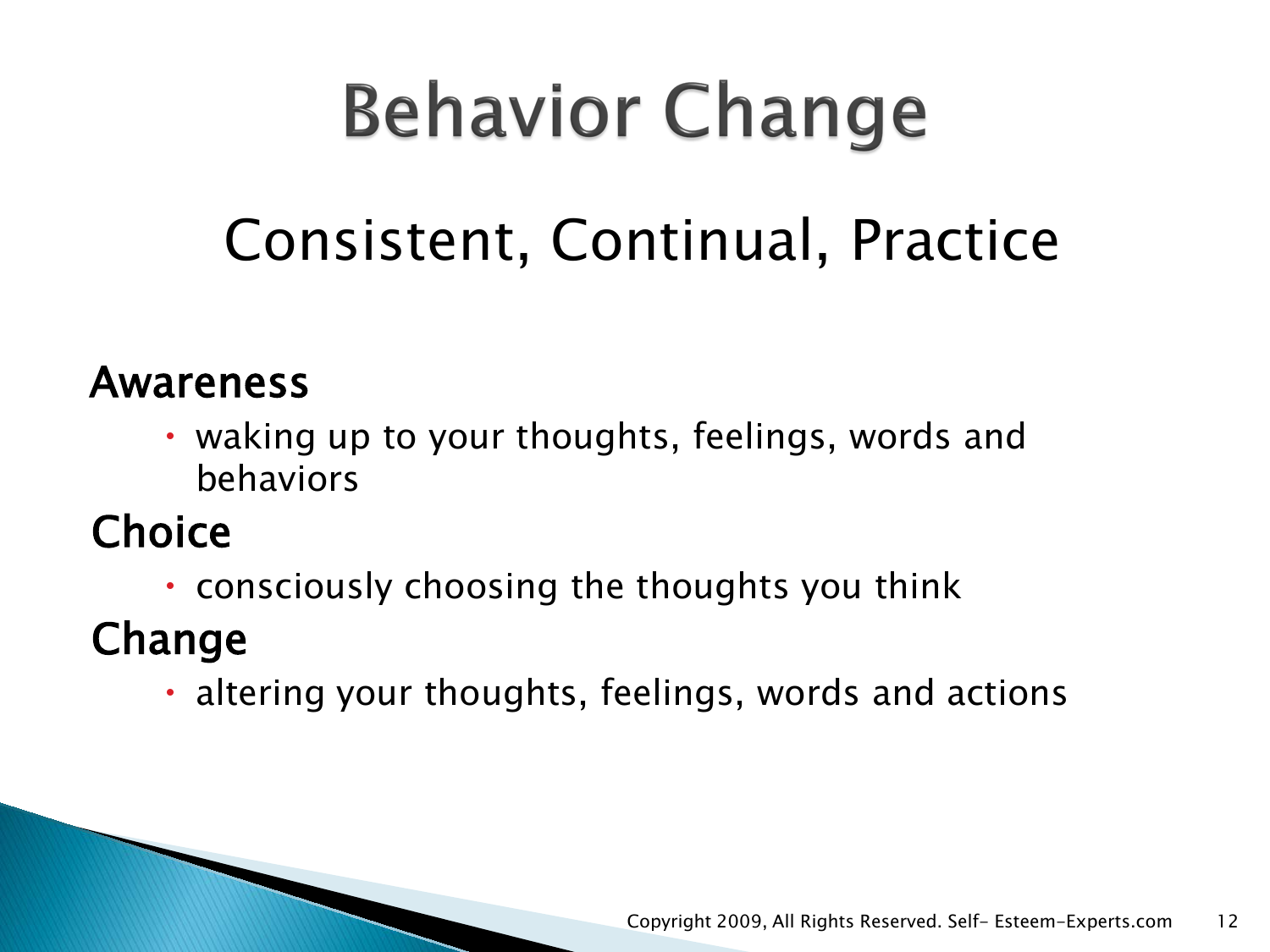# **Behavior Change**

## Consistent, Continual, Practice

### Awareness

• waking up to your thoughts, feelings, words and behaviors

### **Choice**

consciously choosing the thoughts you think

### Change

altering your thoughts, feelings, words and actions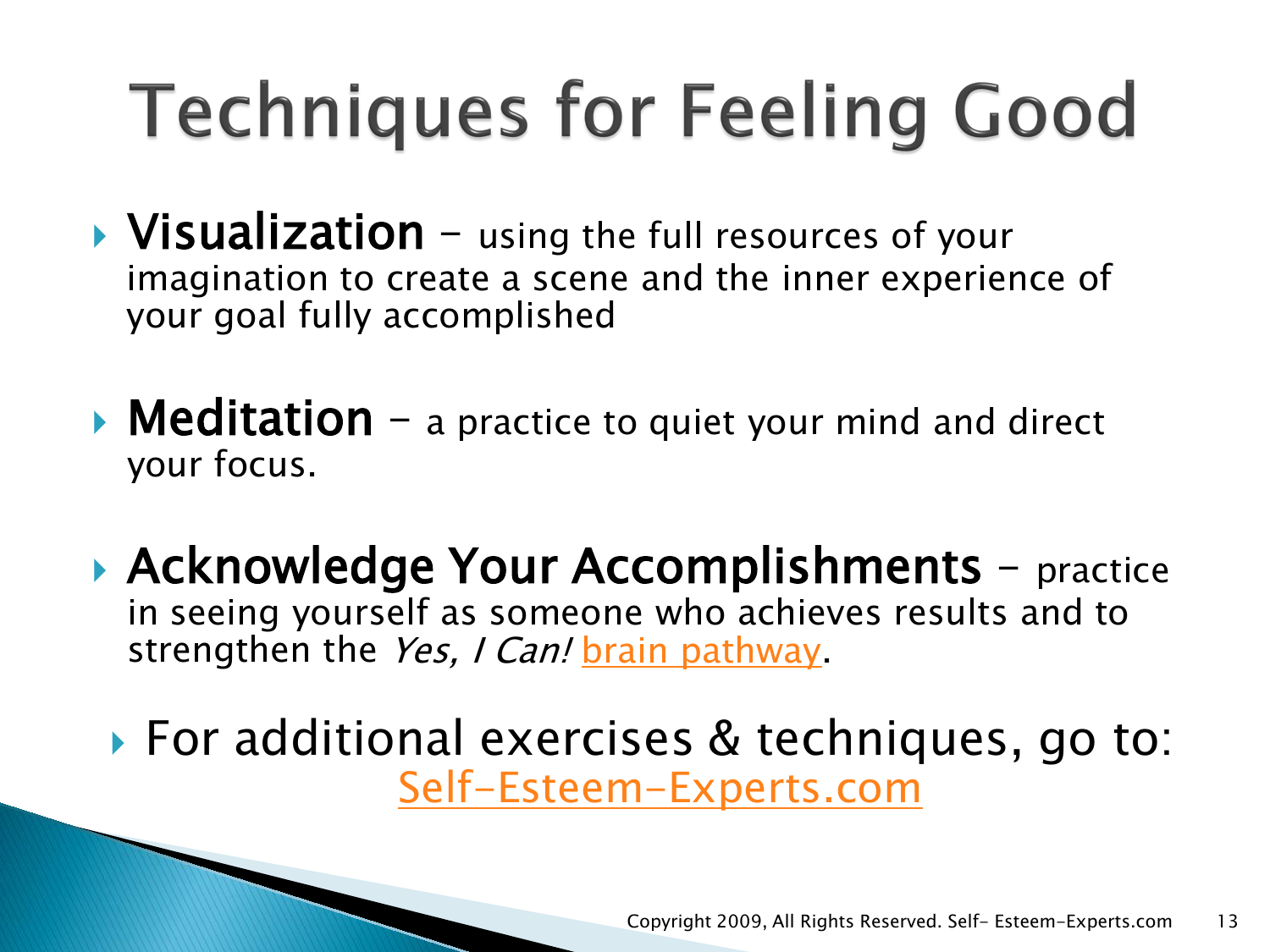# **Techniques for Feeling Good**

- $\triangleright$  Visualization using the full resources of your imagination to create a scene and the inner experience of your goal fully accomplished
- $\triangleright$  Meditation a practice to quiet your mind and direct your focus.
- ▶ Acknowledge Your Accomplishments practice in seeing yourself as someone who achieves results and to strengthen the Yes, I Can! [brain pathway.](http://www.self-esteem-experts.com/how-the-brain-works.html)

▶ For additional exercises & techniques, go to: [Self-Esteem-Experts.com](http://www.self-esteem-experts.com/self-esteem-activities.html)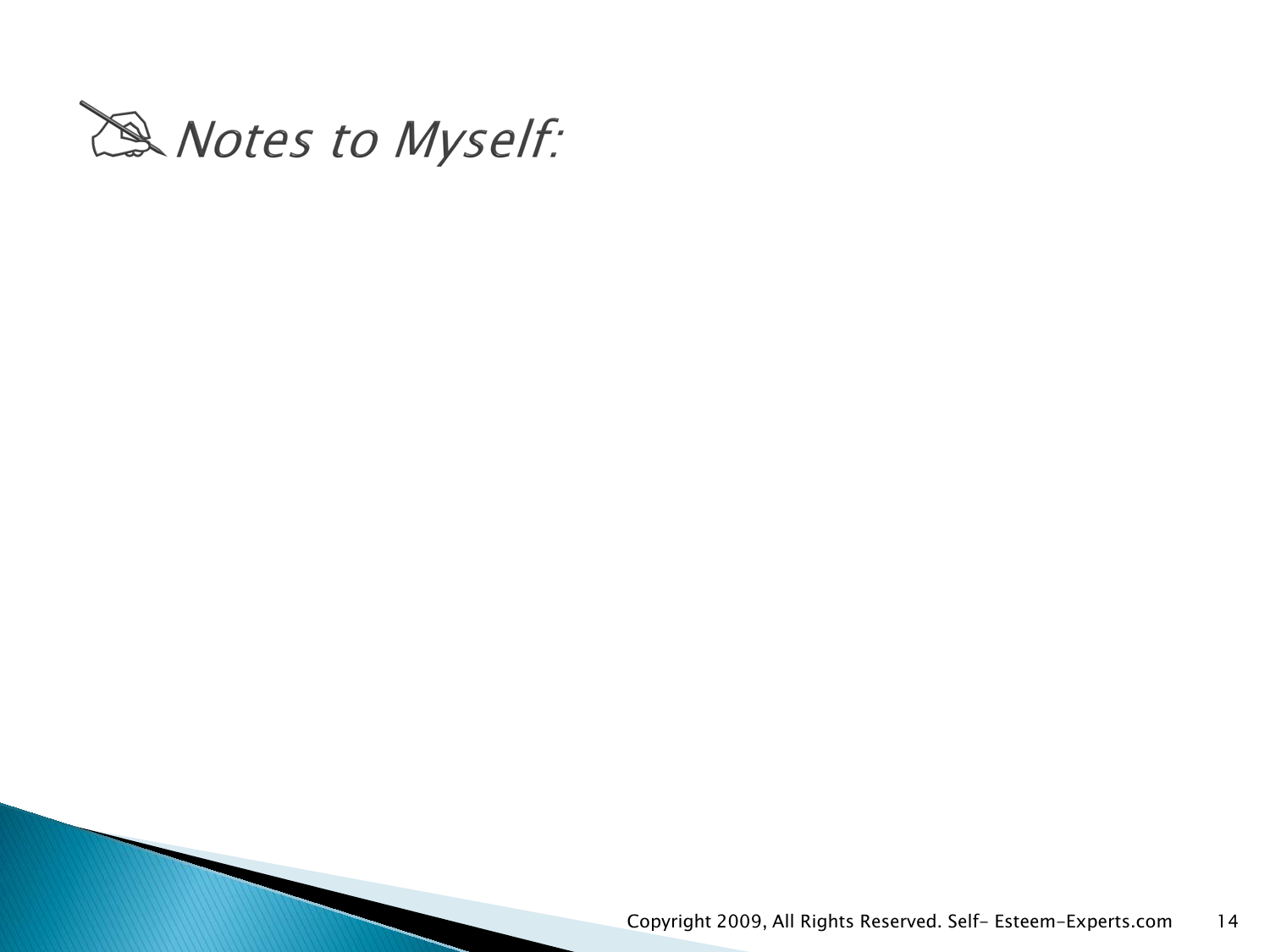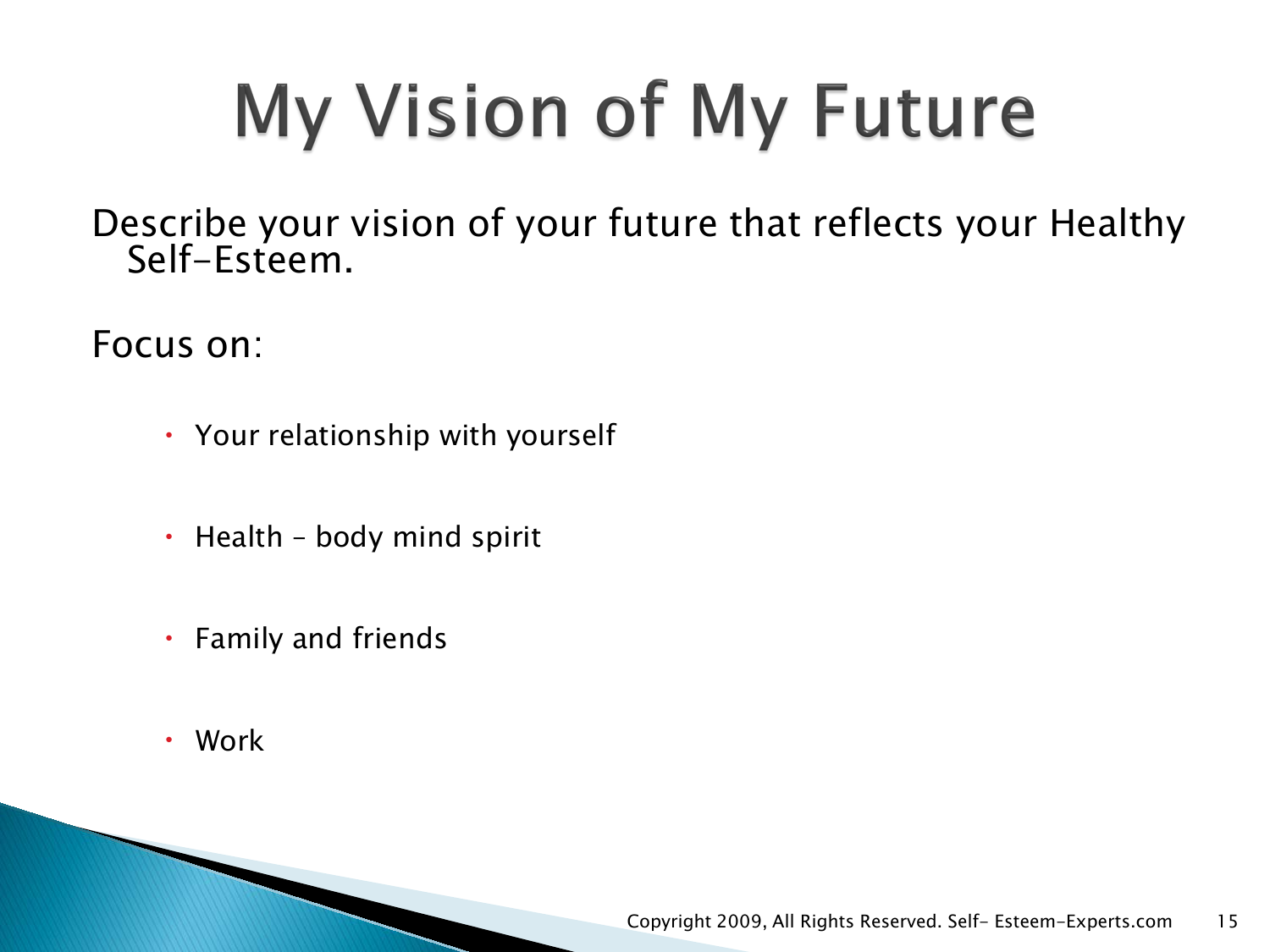# My Vision of My Future

Describe your vision of your future that reflects your Healthy Self-Esteem.

Focus on:

- Your relationship with yourself
- $\cdot$  Health body mind spirit
- Family and friends
- Work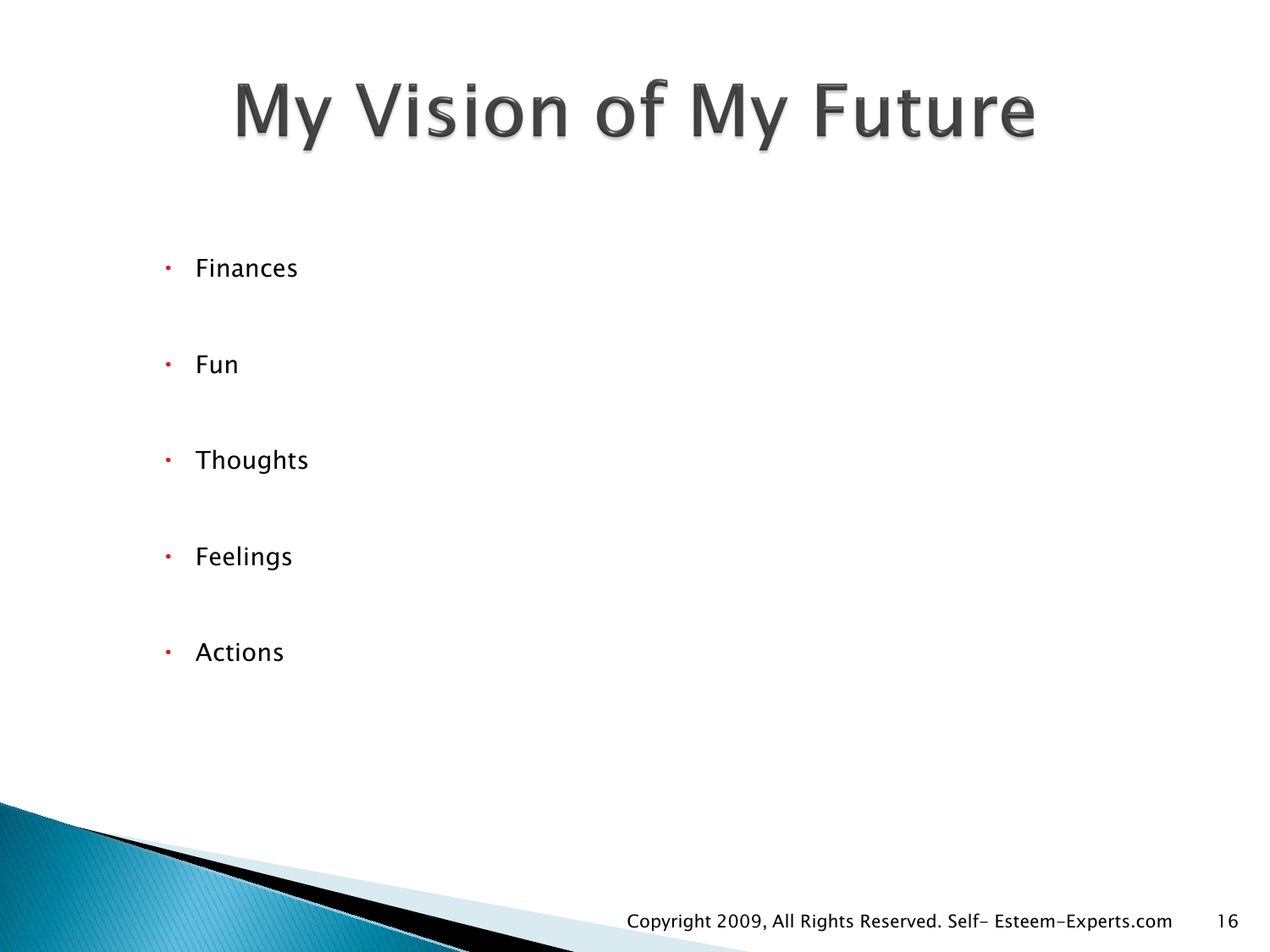## My Vision of My Future

- Finances
- $\cdot$  Fun
- Thoughts
- Feelings
- Actions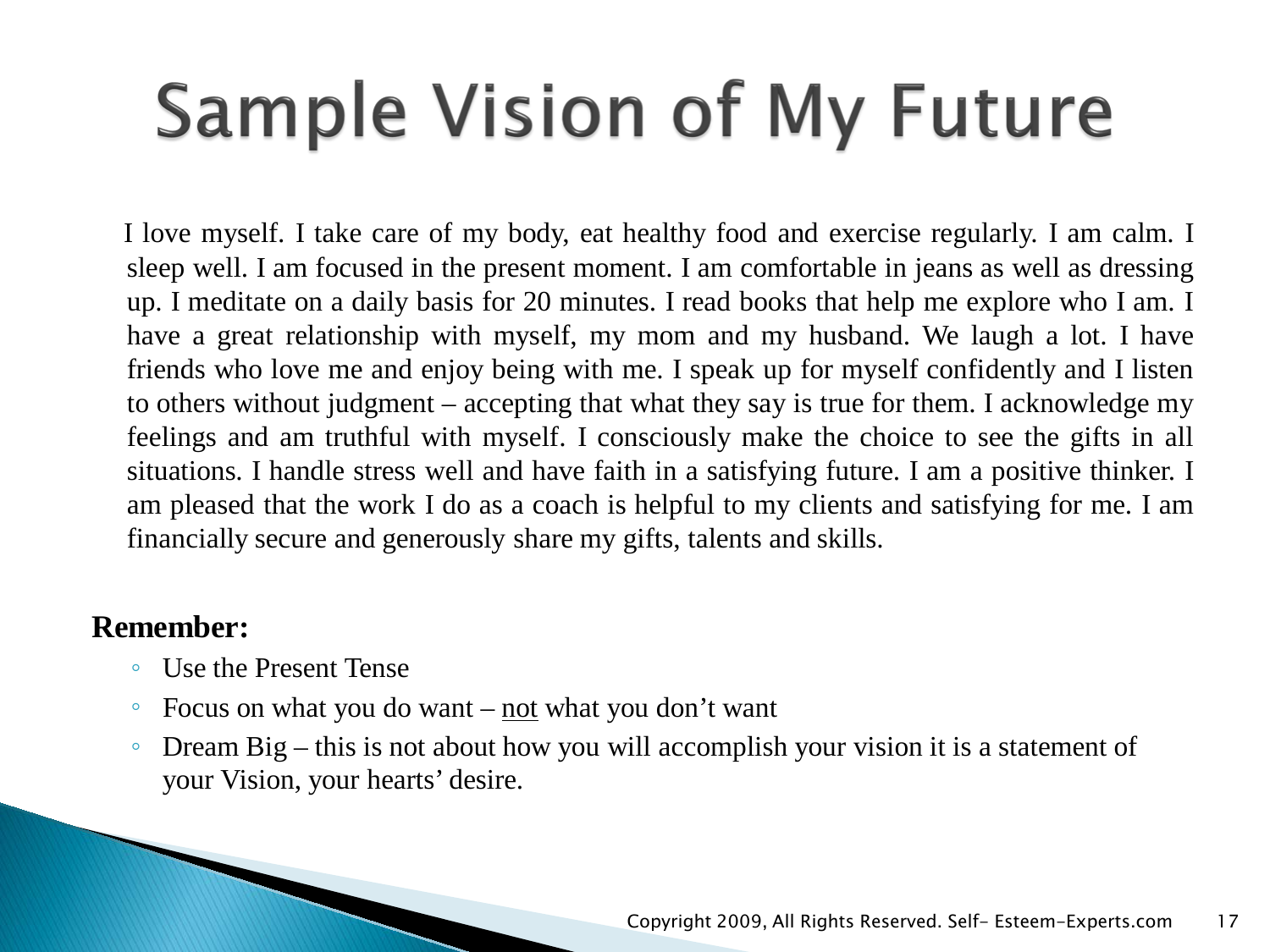## **Sample Vision of My Future**

I love myself. I take care of my body, eat healthy food and exercise regularly. I am calm. I sleep well. I am focused in the present moment. I am comfortable in jeans as well as dressing up. I meditate on a daily basis for 20 minutes. I read books that help me explore who I am. I have a great relationship with myself, my mom and my husband. We laugh a lot. I have friends who love me and enjoy being with me. I speak up for myself confidently and I listen to others without judgment – accepting that what they say is true for them. I acknowledge my feelings and am truthful with myself. I consciously make the choice to see the gifts in all situations. I handle stress well and have faith in a satisfying future. I am a positive thinker. I am pleased that the work I do as a coach is helpful to my clients and satisfying for me. I am financially secure and generously share my gifts, talents and skills.

#### **Remember:**

- Use the Present Tense
- Focus on what you do want not what you don't want
- Dream Big this is not about how you will accomplish your vision it is a statement of your Vision, your hearts' desire.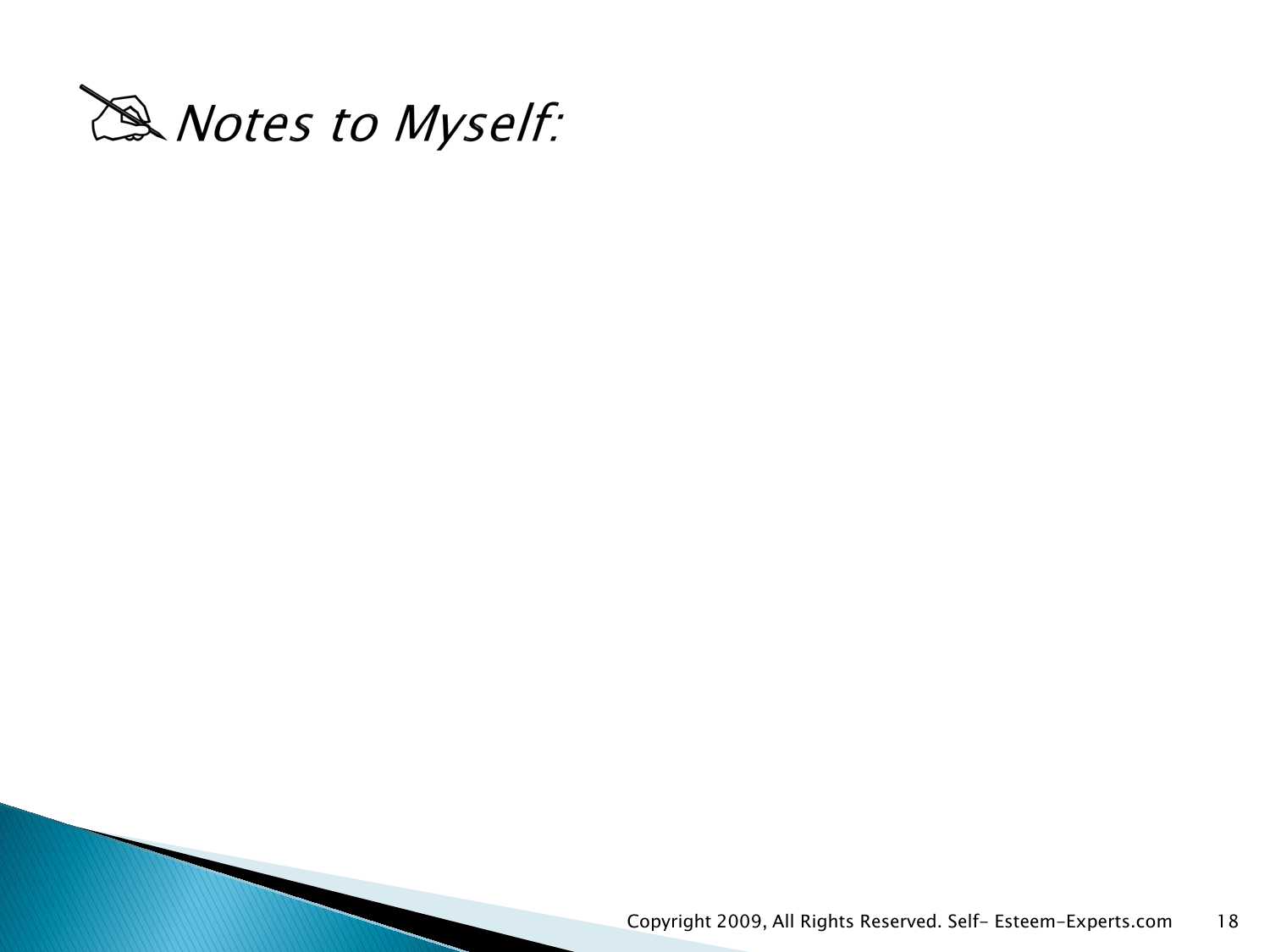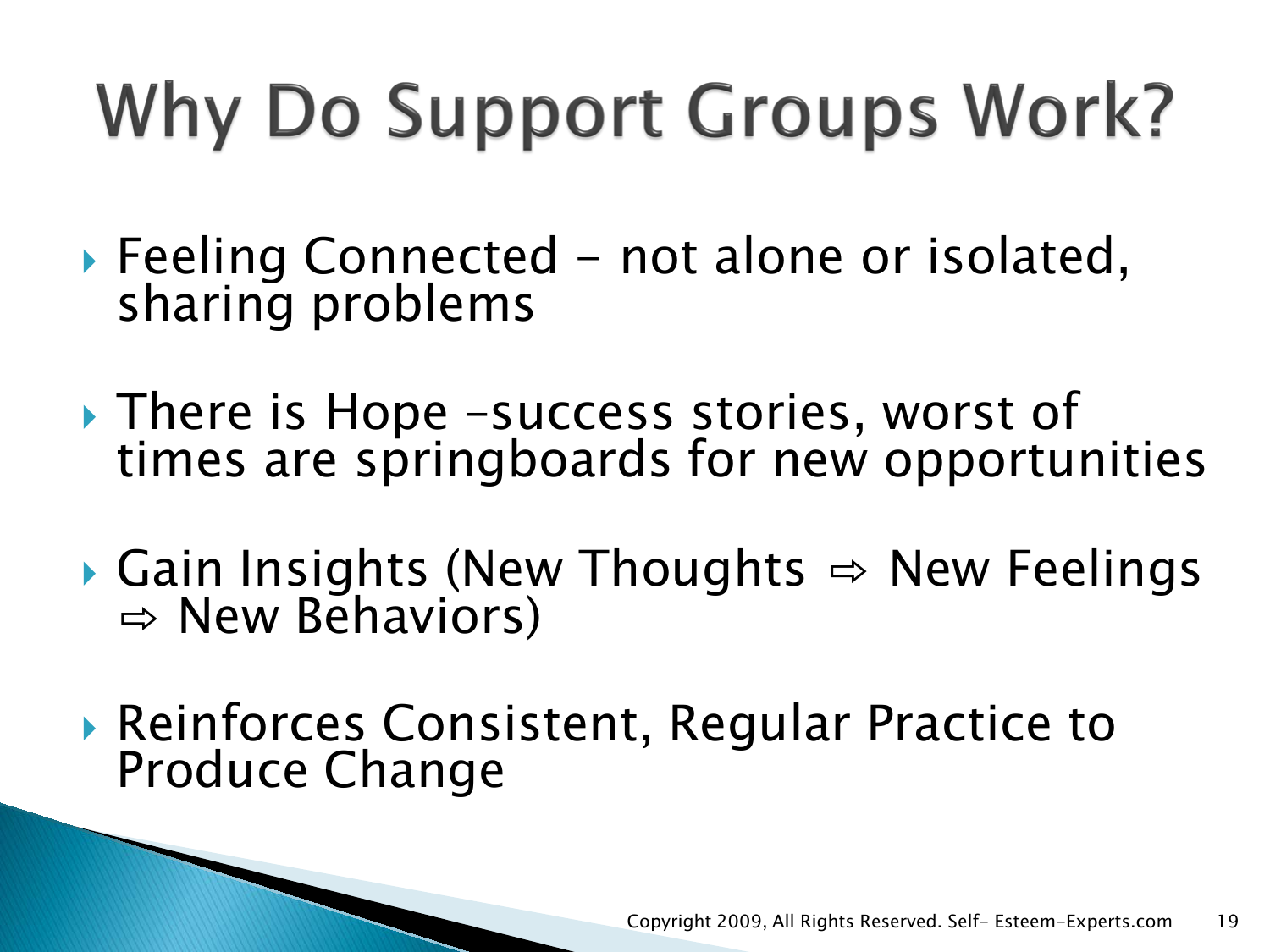# Why Do Support Groups Work?

- $\triangleright$  Feeling Connected not alone or isolated, sharing problems
- ▶ There is Hope -success stories, worst of times are springboards for new opportunities
- ▶ Gain Insights (New Thoughts  $\Rightarrow$  New Feelings  $\Rightarrow$  New Behaviors)
- ▶ Reinforces Consistent, Regular Practice to Produce Change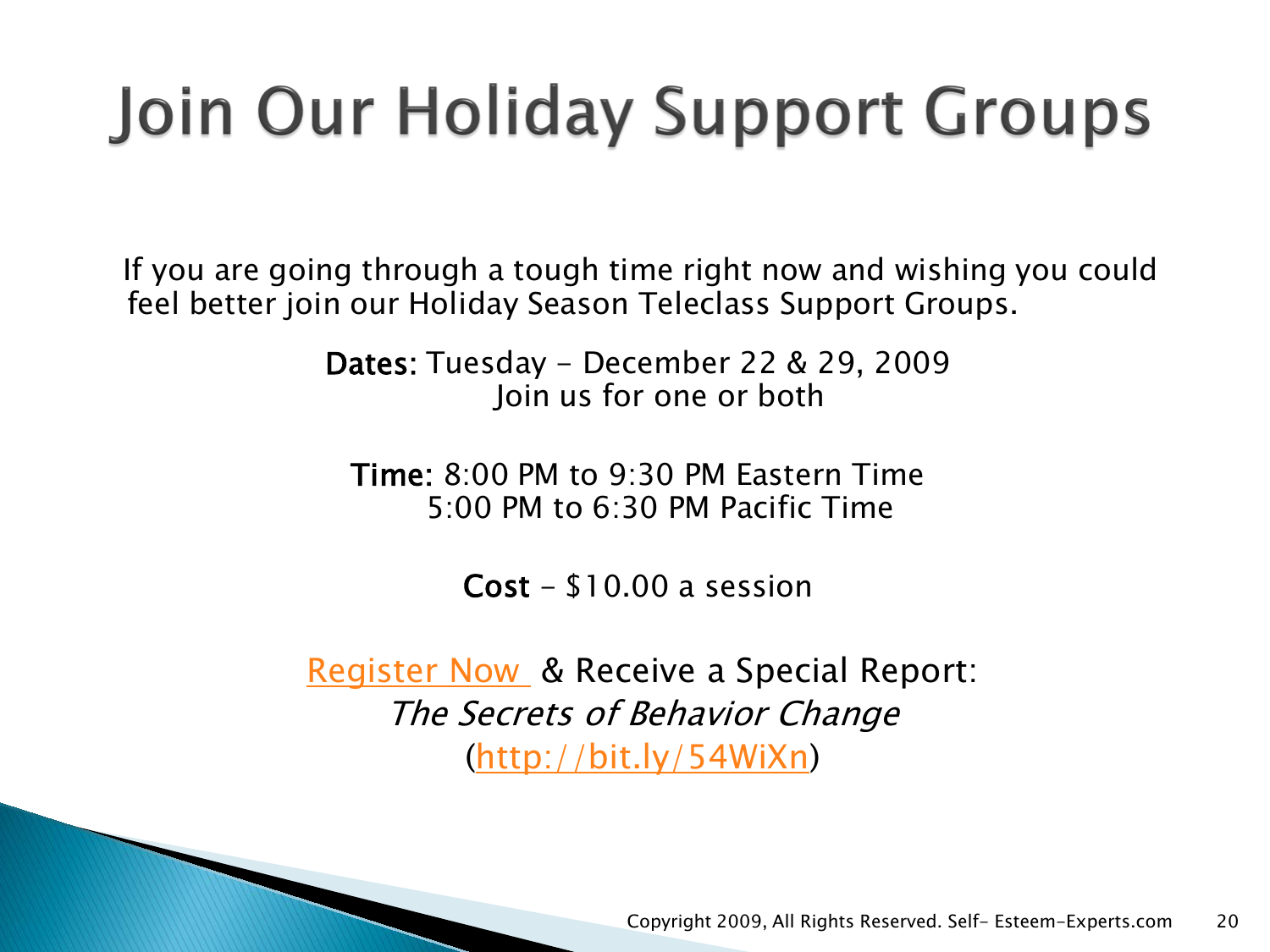## Join Our Holiday Support Groups

If you are going through a tough time right now and wishing you could feel better join our Holiday Season Teleclass Support Groups.

> Dates: Tuesday - December 22 & 29, 2009 Join us for one or both

Time: 8:00 PM to 9:30 PM Eastern Time 5:00 PM to 6:30 PM Pacific Time

 $Cost - $10.00$  a session

[Register Now](http://www.self-esteem-experts.com/internet-support-groups.html) & Receive a Special Report: The Secrets of Behavior Change ([http://bit.ly/54WiXn\)](http://bit.ly/54WiXn)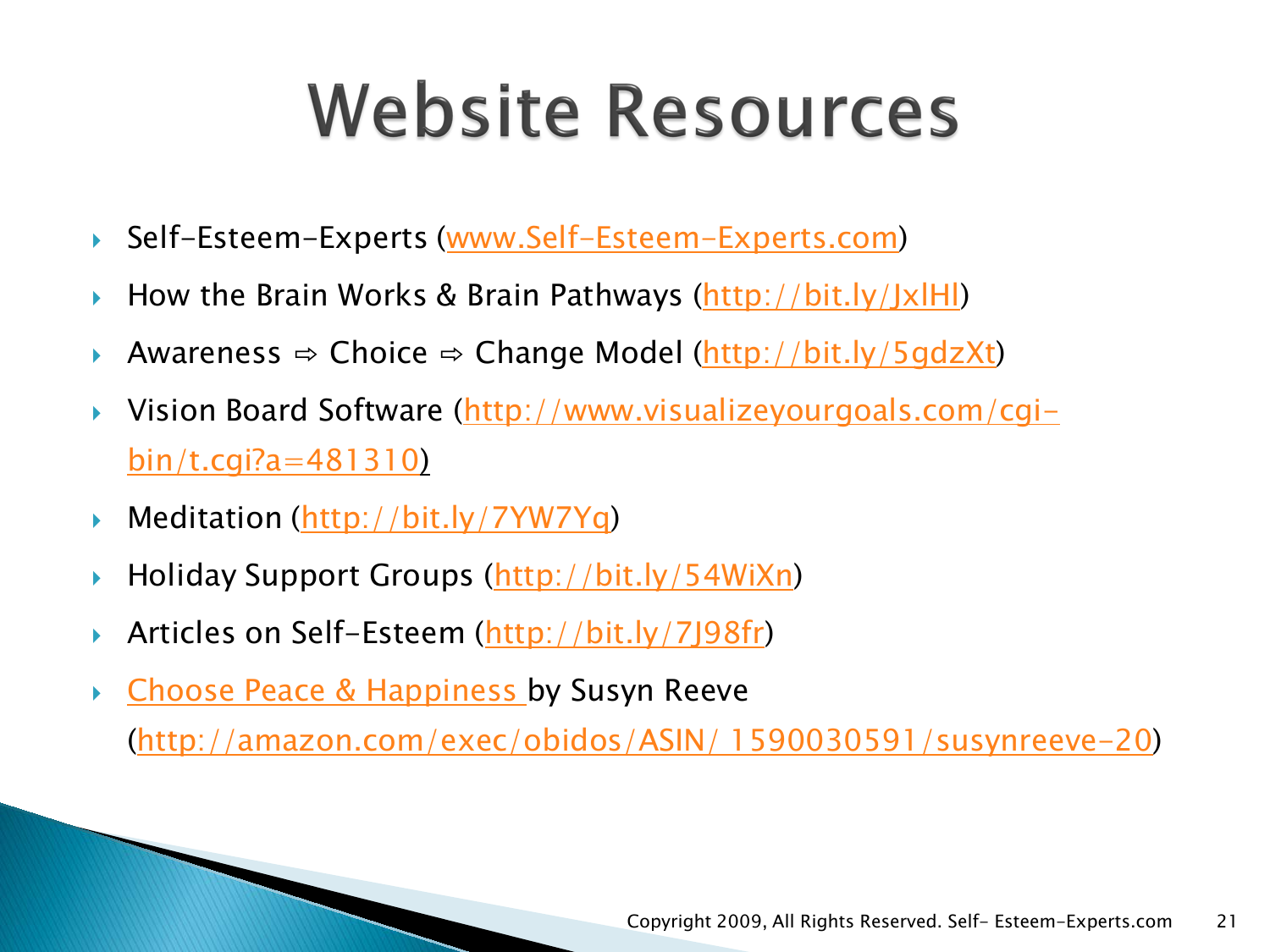## **Website Resources**

- ▶ Self-Esteem-Experts [\(www.Self-Esteem-Experts.com\)](http://www.self-esteem-experts.com/)
- $\triangleright$  How the Brain Works & Brain Pathways [\(http://bit.ly/JxlHl](http://bit.ly/JxlHl))
- ▶ Awareness ⇔ Choice ⇔ Change Model ([http://bit.ly/5gdzXt\)](http://bit.ly/5gdzXt)
- Vision Board Software ([http://www.visualizeyourgoals.com/cgi](http://www.visualizeyourgoals.com/cgi-bin/t.cgi?a=481310)[bin/t.cgi?a=481310](http://www.visualizeyourgoals.com/cgi-bin/t.cgi?a=481310))
- ▶ Meditation [\(http://bit.ly/7YW7Yq](http://bit.ly/7YW7Yq))
- ▶ Holiday Support Groups ([http://bit.ly/54WiXn\)](http://bit.ly/54WiXn)
- ▶ Articles on Self-Esteem (<http://bit.ly/7J98fr>)
- ▶ [Choose Peace & Happiness b](http://exec/obidos/ASIN/1590030591/susynreeve-20)y Susyn Reeve

([http://amazon.com/exec/obidos/ASIN/ 1590030591/susynreeve-20\)](http://amazon.com/exec/obidos/ASIN/ 1590030591/susynreeve-20)